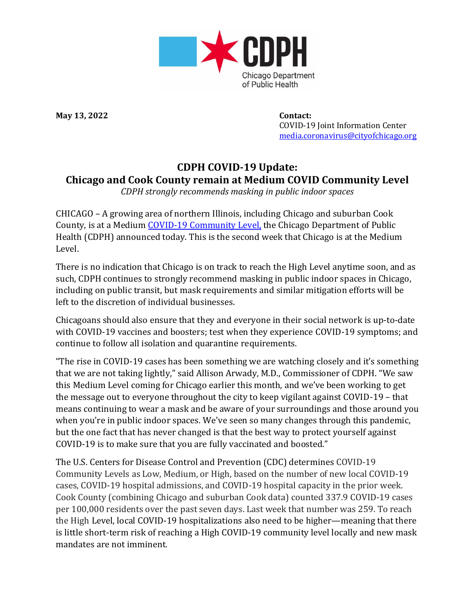

**May 13, 2022 Contact:**

 COVID-19 Joint Information Center [media.coronavirus@cityofchicago.org](mailto:media.coronavirus@cityofchicago.org)

## **CDPH COVID-19 Update: Chicago and Cook County remain at Medium COVID Community Level**

*CDPH strongly recommends masking in public indoor spaces*

CHICAGO – A growing area of northern Illinois, including Chicago and suburban Cook County, is at a Medium COVID-19 [Community](https://covid.cdc.gov/covid-data-tracker/#county-view?list_select_state=all_states&list_select_county=all_counties&data-type=CommunityLevels) Level, the Chicago Department of Public Health (CDPH) announced today. This is the second week that Chicago is at the Medium Level.

There is no indication that Chicago is on track to reach the High Level anytime soon, and as such, CDPH continues to strongly recommend masking in public indoor spaces in Chicago, including on public transit, but mask requirements and similar mitigation efforts will be left to the discretion of individual businesses.

Chicagoans should also ensure that they and everyone in their social network is up-to-date with COVID-19 vaccines and boosters; test when they experience COVID-19 symptoms; and continue to follow all isolation and quarantine requirements.

"The rise in COVID-19 cases has been something we are watching closely and it's something that we are not taking lightly," said Allison Arwady, M.D., Commissioner of CDPH. "We saw this Medium Level coming for Chicago earlier this month, and we've been working to get the message out to everyone throughout the city to keep vigilant against COVID-19 – that means continuing to wear a mask and be aware of your surroundings and those around you when you're in public indoor spaces. We've seen so many changes through this pandemic, but the one fact that has never changed is that the best way to protect yourself against COVID-19 is to make sure that you are fully vaccinated and boosted."

The U.S. Centers for Disease Control and Prevention (CDC) determines COVID-19 Community Levels as Low, Medium, or High, based on the number of new local COVID-19 cases, COVID-19 hospital admissions, and COVID-19 hospital capacity in the prior week. Cook County (combining Chicago and suburban Cook data) counted 337.9 COVID-19 cases per 100,000 residents over the past seven days. Last week that number was 259. To reach the High Level, local COVID-19 hospitalizations also need to be higher—meaning that there is little short-term risk of reaching a High COVID-19 community level locally and new mask mandates are not imminent.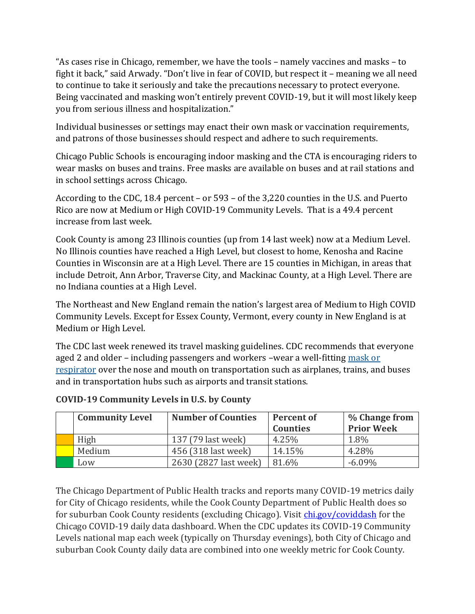"As cases rise in Chicago, remember, we have the tools – namely vaccines and masks – to fight it back," said Arwady. "Don't live in fear of COVID, but respect it – meaning we all need to continue to take it seriously and take the precautions necessary to protect everyone. Being vaccinated and masking won't entirely prevent COVID-19, but it will most likely keep you from serious illness and hospitalization."

Individual businesses or settings may enact their own mask or vaccination requirements, and patrons of those businesses should respect and adhere to such requirements.

Chicago Public Schools is encouraging indoor masking and the CTA is encouraging riders to wear masks on buses and trains. Free masks are available on buses and at rail stations and in school settings across Chicago.

According to the CDC, 18.4 percent – or 593 – of the 3,220 counties in the U.S. and Puerto Rico are now at Medium or High COVID-19 Community Levels. That is a 49.4 percent increase from last week.

Cook County is among 23 Illinois counties (up from 14 last week) now at a Medium Level. No Illinois counties have reached a High Level, but closest to home, Kenosha and Racine Counties in Wisconsin are at a High Level. There are 15 counties in Michigan, in areas that include Detroit, Ann Arbor, Traverse City, and Mackinac County, at a High Level. There are no Indiana counties at a High Level.

The Northeast and New England remain the nation's largest area of Medium to High COVID Community Levels. Except for Essex County, Vermont, every county in New England is at Medium or High Level.

The CDC last week renewed its travel masking guidelines. CDC recommends that everyone aged 2 and older – including passengers and workers –wear a well-fitting [mask or](https://www.cdc.gov/coronavirus/2019-ncov/prevent-getting-sick/types-of-masks.html)  [respirator](https://www.cdc.gov/coronavirus/2019-ncov/prevent-getting-sick/types-of-masks.html) over the nose and mouth on transportation such as airplanes, trains, and buses and in transportation hubs such as airports and transit stations.

| <b>Community Level</b> | <b>Number of Counties</b> | <b>Percent of</b><br><b>Counties</b> | % Change from<br><b>Prior Week</b> |
|------------------------|---------------------------|--------------------------------------|------------------------------------|
| High                   | 137 (79 last week)        | 4.25%                                | 1.8%                               |
| Medium                 | 456 (318 last week)       | 14.15%                               | 4.28%                              |
| Low                    | 2630 (2827 last week)     | 81.6%                                | $-6.09\%$                          |

## **COVID-19 Community Levels in U.S. by County**

The Chicago Department of Public Health tracks and reports many COVID-19 metrics daily for City of Chicago residents, while the Cook County Department of Public Health does so for suburban Cook County residents (excluding Chicago). Visit *chi.gov/coviddash* for the Chicago COVID-19 daily data dashboard. When the CDC updates its COVID-19 Community Levels national map each week (typically on Thursday evenings), both City of Chicago and suburban Cook County daily data are combined into one weekly metric for Cook County.